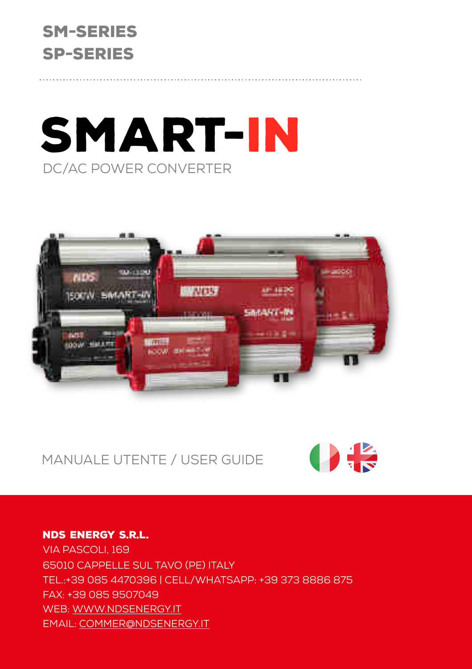# SM-Series SP-Series

# SMART-IN DC/AC Power converter



Manuale utente / User Guide



### NDS ENERGY s.r.l. Via Pascoli, 169 65010 Cappelle sul Tavo (Pe) Italy Tel.:+39 085 4470396 | Cell/whatsapp: +39 373 8886 875 fax: +39 085 9507049 web: [www.ndsenergy.it](http://www.ndsenergy.it) email: [commer@ndsenergy.it](mailto:commer@ndsenergy.it)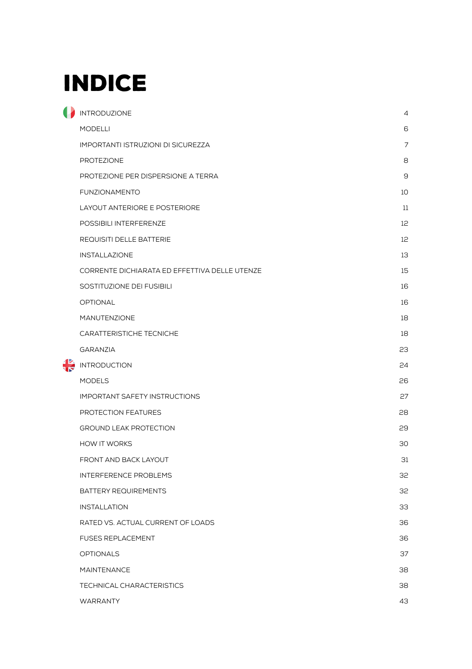# **INDICE**

| INTRODUZIONE                                  | $\overline{4}$ |
|-----------------------------------------------|----------------|
| <b>MODELLI</b>                                | 6              |
| <b>IMPORTANTI ISTRUZIONI DI SICUREZZA</b>     | $\overline{7}$ |
| PROTEZIONE                                    | 8              |
| PROTEZIONE PER DISPERSIONE A TERRA            | 9              |
| <b>FUNZIONAMENTO</b>                          | 10             |
| LAYOUT ANTERIORE E POSTERIORE                 | 11             |
| POSSIBILI INTERFERENZE                        | 12             |
| REQUISITI DELLE BATTERIE                      | 12             |
| <b>INSTALLAZIONE</b>                          | 13             |
| CORRENTE DICHIARATA ED EFFETTIVA DELLE UTENZE | 15             |
| SOSTITUZIONE DEI FUSIBILI                     | 16             |
| <b>OPTIONAL</b>                               | 16             |
| <b>MANUTENZIONE</b>                           | 18             |
| CARATTERISTICHE TECNICHE                      | 18             |
| <b>GARANZIA</b>                               | 23             |
| <b>INTRODUCTION</b>                           | 24             |
| <b>MODELS</b>                                 | 26             |
| <b>IMPORTANT SAFETY INSTRUCTIONS</b>          | 27             |
| PROTECTION FEATURES                           | 28             |
| <b>GROUND LEAK PROTECTION</b>                 | 29             |
| <b>HOW IT WORKS</b>                           | 30             |
| FRONT AND BACK LAYOUT                         | 31             |
| <b>INTERFERENCE PROBLEMS</b>                  | 32             |
| BATTERY REQUIREMENTS                          | 32             |
| <b>INSTALLATION</b>                           | 33             |
| RATED VS. ACTUAL CURRENT OF LOADS             | 36             |
| <b>FUSES REPLACEMENT</b>                      | 36             |
| <b>OPTIONALS</b>                              | 37             |
| <b>MAINTENANCE</b>                            | 38             |
| TECHNICAL CHARACTERISTICS                     | 38             |
| <b>WARRANTY</b>                               | 43             |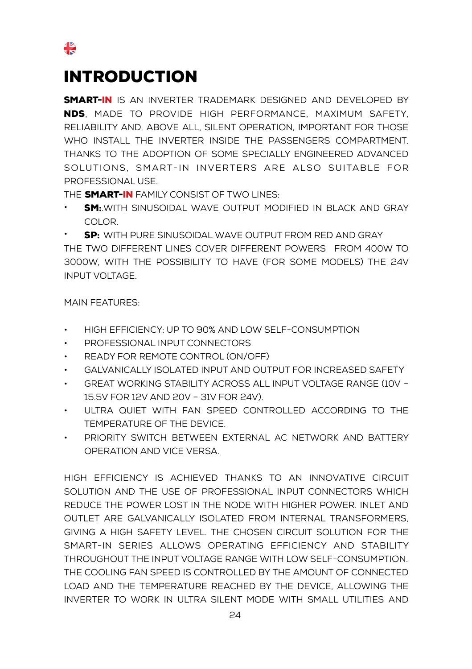### <span id="page-2-0"></span>Introduction

₩

**SMART-IN** IS AN INVERTER TRADEMARK DESIGNED AND DEVELOPED BY nds, made to provide high performance, maximum safety, reliability and, above all, silent operation, important for those who install the inverter inside the passengers compartment. thanks to the adoption of some specially engineered advanced solutions, smart-in inverters are also suitable for professional use.

THE **SMART-IN** FAMILY CONSIST OF TWO LINES:

**SM:** WITH SINUSOIDAL WAVE OUTPUT MODIFIED IN BLACK AND GRAY color.

**SP:** WITH PURE SINUSOIDAL WAVE OUTPUT FROM RED AND GRAY the two different lines cover different powers from 400W to 3000W, with the possibility to have (for some models) the 24V input voltage.

Main features:

- high efficiency: up to 90% and low self-consumption
- Professional input connectors
- Ready for remote control (ON/OFF)
- Galvanically isolated input and output for increased safety
- Great working stability across all input voltage range (10V 15.5V for 12V and 20V – 31V for 24V).
- Ultra quiet with fan speed controlled according to the temperature of the device.
- priority switch between external ac network and battery operation and vice versa.

High efficiency is achieved thanks to an innovative circuit solution and the use of professional input connectors which reduce the power lost in the node with higher power. Inlet and outlet are galvanically isolated from internal transformers, giving a high safety level. The chosen circuit solution for the smart-in series allows operating efficiency and stability throughout the input voltage range with low self-consumption. The cooling fan speed is controlled by the amount of connected load and the temperature reached by the device, allowing the inverter to work in ultra silent mode with small utilities and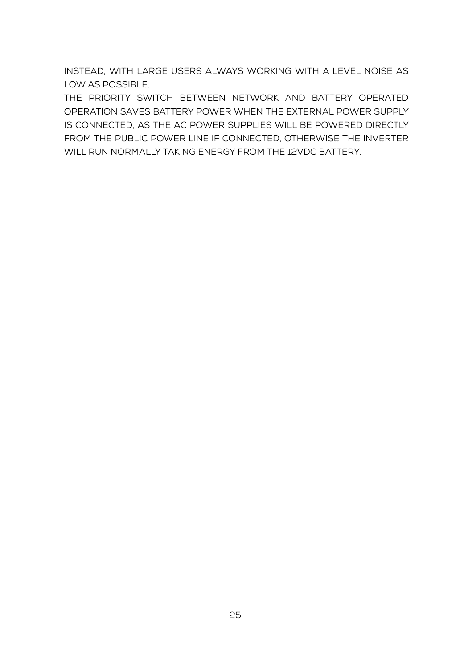instead, with large users always working with a level Noise as low as possible.

The priority switch between network and battery operated operation saves battery power when the external power supply is connected, as the AC power supplies will be powered directly from the public power line if connected, otherwise the inverter WILL RUN NORMALLY TAKING ENERGY FROM THE 12VDC BATTERY.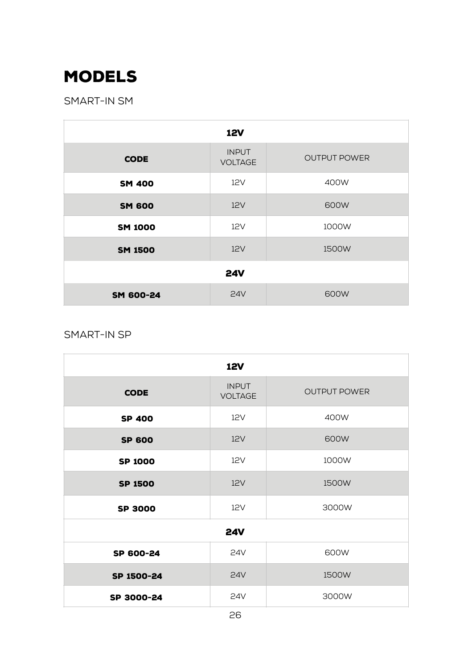## <span id="page-4-0"></span>Models

Smart-in SM

| <b>12V</b>                                                           |            |       |  |  |
|----------------------------------------------------------------------|------------|-------|--|--|
| <b>INPUT</b><br><b>OUTPUT POWER</b><br><b>CODE</b><br><b>VOLTAGE</b> |            |       |  |  |
| <b>SM 400</b>                                                        | 12V        | 400W  |  |  |
| <b>SM 600</b>                                                        | 12V        | 600W  |  |  |
| <b>SM 1000</b>                                                       | 12V        | 1000W |  |  |
| <b>SM 1500</b>                                                       | 12V        | 1500W |  |  |
| <b>24V</b>                                                           |            |       |  |  |
| SM 600-24                                                            | <b>24V</b> | 600W  |  |  |

Smart-in SP

| <b>12V</b>     |                                |                     |  |  |
|----------------|--------------------------------|---------------------|--|--|
| <b>CODE</b>    | <b>INPUT</b><br><b>VOLTAGE</b> | <b>OUTPUT POWER</b> |  |  |
| <b>SP 400</b>  | 12V                            | 400W                |  |  |
| <b>SP 600</b>  | 12V                            | 600W                |  |  |
| <b>SP 1000</b> | 12V                            | 1000W               |  |  |
| <b>SP 1500</b> | 12V                            | 1500W               |  |  |
| <b>SP 3000</b> | 12V                            | 3000W               |  |  |
| <b>24V</b>     |                                |                     |  |  |
| SP 600-24      | 24V                            | 600W                |  |  |
| SP 1500-24     | <b>24V</b>                     | 1500W               |  |  |
| SP 3000-24     | 24V                            | 3000W               |  |  |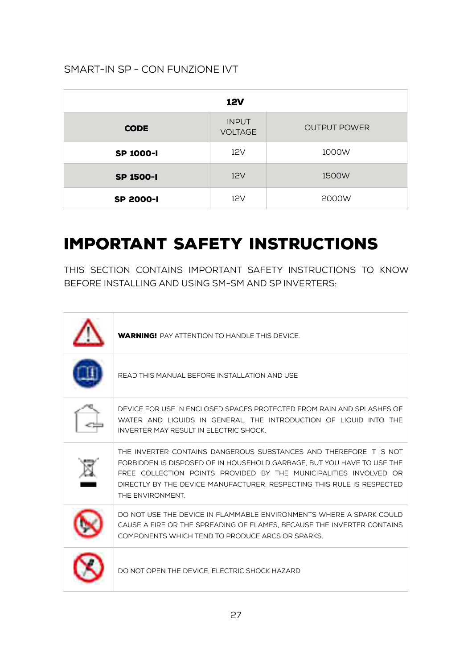### Smart-in SP - con funzione IVT

| <b>12V</b>       |                                |                     |  |  |
|------------------|--------------------------------|---------------------|--|--|
| <b>CODE</b>      | <b>INPUT</b><br><b>VOLTAGE</b> | <b>OUTPUT POWER</b> |  |  |
| <b>SP 1000-I</b> | 12V                            | 1000W               |  |  |
| SP 1500-I        | 12V                            | 1500W               |  |  |
| <b>SP 2000-I</b> | 12V                            | 2000W               |  |  |

### <span id="page-5-0"></span>Important safety instructions

This section contains important safety instructions to know before installing and using SM-SM and SP inverters:

| <b>WARNING!</b> PAY ATTENTION TO HANDLE THIS DEVICE.                                                                                                                                                                                                                                                             |
|------------------------------------------------------------------------------------------------------------------------------------------------------------------------------------------------------------------------------------------------------------------------------------------------------------------|
| READ THIS MANUAL BEFORE INSTALL ATION AND USE                                                                                                                                                                                                                                                                    |
| DEVICE FOR USE IN ENCLOSED SPACES PROTECTED FROM RAIN AND SPLASHES OF<br>WATER AND LIQUIDS IN GENERAL. THE INTRODUCTION OF LIQUID INTO THE<br>INVERTER MAY RESULT IN ELECTRIC SHOCK.                                                                                                                             |
| THE INVERTER CONTAINS DANGEROUS SUBSTANCES AND THEREFORE IT IS NOT<br>FORBIDDEN IS DISPOSED OF IN HOUSEHOLD GARBAGE. BUT YOU HAVE TO USE THE<br>FREE COLLECTION POINTS PROVIDED BY THE MUNICIPALITIES INVOLVED OR<br>DIRECTLY BY THE DEVICE MANUFACTURER. RESPECTING THIS RULE IS RESPECTED.<br>THE ENVIRONMENT. |
| DO NOT USE THE DEVICE IN FLAMMABLE ENVIRONMENTS WHERE A SPARK COULD<br>CAUSE A FIRE OR THE SPREADING OF FLAMES. BECAUSE THE INVERTER CONTAINS<br>COMPONENTS WHICH TEND TO PRODUCE ARCS OR SPARKS.                                                                                                                |
| DO NOT OPEN THE DEVICE. ELECTRIC SHOCK HAZARD                                                                                                                                                                                                                                                                    |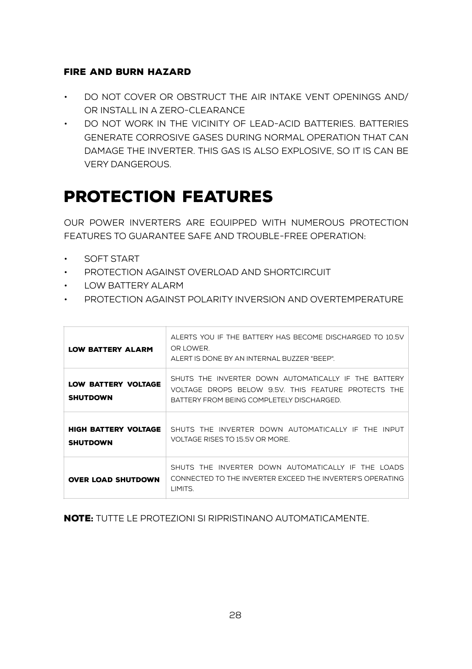#### FIRE AND BURN HAZARD

- Do not cover or obstruct the air intake vent openings and/ or install in a zero-clearance
- Do not work in the vicinity of lead-acid batteries. Batteries generate corrosive gases during normal operation that can damage the inverter. This gas is also explosive, so it is can be very dangerous.

### <span id="page-6-0"></span>PROTECTION FEATURES

Our power inverters are equipped with numerous protection features to guarantee safe and trouble-free operation:

- Soft Start
- Protection against overload and shortcircuit
- Low battery alarm
- Protection against polarity inversion and overtemperature

| <b>LOW BATTERY ALARM</b>                      | ALERTS YOU IF THE BATTERY HAS BECOME DISCHARGED TO 10.5V<br>OR LOWER.<br>ALERT IS DONE BY AN INTERNAL BUZZER "BEEP".                                     |
|-----------------------------------------------|----------------------------------------------------------------------------------------------------------------------------------------------------------|
| <b>LOW BATTERY VOLTAGE</b><br><b>SHUTDOWN</b> | SHUTS THE INVERTER DOWN AUTOMATICALLY IF THE BATTERY<br>VOLTAGE DROPS BELOW 9.5V. THIS FEATURE PROTECTS THE<br>BATTERY FROM BEING COMPLETELY DISCHARGED. |
| HIGH BATTERY VOLTAGE<br><b>SHUTDOWN</b>       | SHUTS THE INVERTER DOWN AUTOMATICALLY IF THE INPUT<br>VOLTAGE RISES TO 15.5V OR MORE.                                                                    |
| <b>OVER LOAD SHUTDOWN</b>                     | SHUTS THE INVERTER DOWN AUTOMATICALLY IF THE LOADS<br>CONNECTED TO THE INVERTER EXCEED THE INVERTER'S OPERATING.<br>LIMITS.                              |

Note: Tutte le protezioni si ripristinano automaticamente.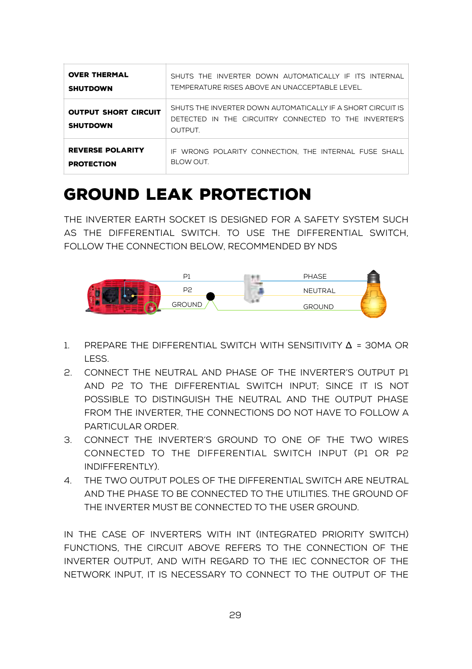| <b>OVER THERMAL</b>                            | SHUTS THE INVERTER DOWN AUTOMATICALLY IF ITS INTERNAL                                                                                 |
|------------------------------------------------|---------------------------------------------------------------------------------------------------------------------------------------|
| <b>SHUTDOWN</b>                                | TEMPERATURE RISES ABOVE AN UNACCEPTABLE LEVEL.                                                                                        |
| <b>OUTPUT SHORT CIRCUIT</b><br><b>SHUTDOWN</b> | SHUTS THE INVERTER DOWN AUTOMATICALLY IF A SHORT CIRCUIT IS<br>DETECTED IN THE CIRCUITRY CONNECTED TO THE INVERTER'S<br><b>OUTPUT</b> |
| <b>REVERSE POLARITY</b>                        | IF WRONG POLARITY CONNECTION. THE INTERNAL FUSE SHALL                                                                                 |
| <b>PROTECTION</b>                              | BLOW OUT.                                                                                                                             |

### <span id="page-7-0"></span>Ground leak protection

The inverter earth socket is designed for a safety system such as the differential switch. To use the differential switch, follow the connection below, recommended by NDS



- 1. PREPARE THE DIFFERENTIAL SWITCH WITH SENSITIVITY  $\Delta$  = 30MA OR less.
- 2. connect the neutral and phase of the inverter's output p1 and p2 to the differential switch input; since it is not possible to distinguish the neutral and the output phase from the inverter, the connections do not have to follow a particular order.
- 3. connect the inverter's ground to one of the two wires connected to the differential switch input (p1 or p2 indifferently).
- 4. the two output poles of the differential switch are neutral and the phase to be connected to the utilities. the ground of the inverter must be connected to the user ground.

In the case of inverters with int (Integrated Priority Switch) functions, the circuit above refers to the connection of the inverter output, and with regard to the IEC connector of the network input, it is necessary to connect to the output of the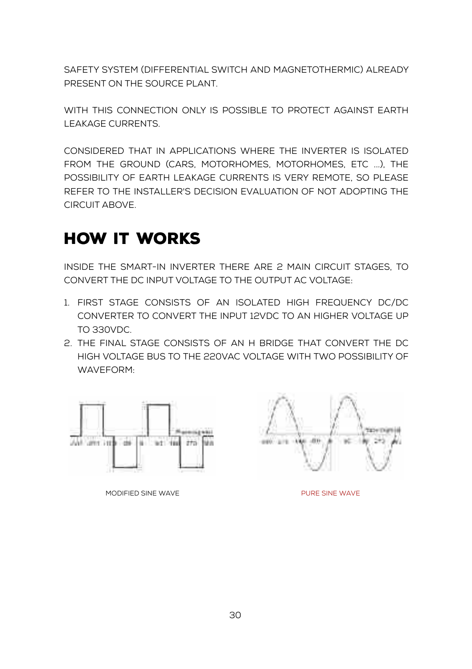safety system (differential switch and magnetothermic) already present on the source plant.

WITH THIS CONNECTION ONLY IS POSSIBLE TO PROTECT AGAINST EARTH leakage currents.

considered that in applications where the inverter is isolated from the ground (cars, motorhomes, motorhomes, etc ...), the possibility of earth leakage currents is very remote, so please refer to the installer's decision evaluation of not adopting the circuit above.

### <span id="page-8-0"></span>how it works

Inside the Smart-in inverter there are 2 main circuit stages, to convert the DC input voltage to the output AC voltage:

- 1. First stage consists of an isolated high frequency DC/DC converter to convert the input 12VDC to an higher voltage up to 330VDC.
- 2. The final stage consists of an H bridge that convert the DC high voltage bus to the 220VAC voltage with two possibility of WAVEFORM:



MODIFIED SINE WAVE **EXAMPLE SINCE WAVE** 

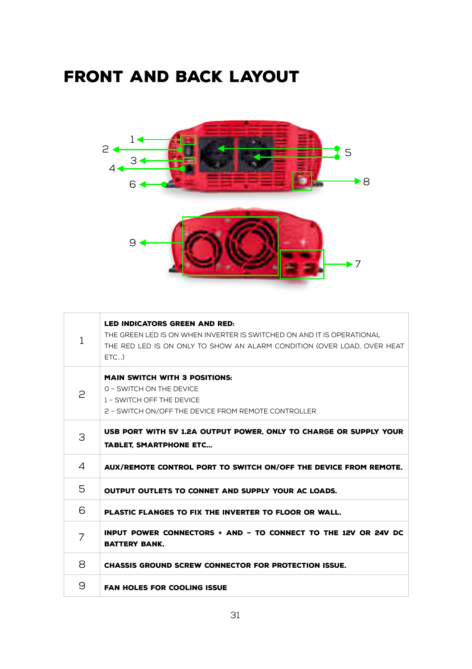# <span id="page-9-0"></span>front and back layout



| 1 | <b>LED INDICATORS GREEN AND RED:</b><br>THE GREEN LED IS ON WHEN INVERTER IS SWITCHED ON AND IT IS OPERATIONAL<br>THE RED LED IS ON ONLY TO SHOW AN ALARM CONDITION (OVER LOAD, OVER HEAT<br>$FTC.$ ) |
|---|-------------------------------------------------------------------------------------------------------------------------------------------------------------------------------------------------------|
| 2 | <b>MAIN SWITCH WITH 3 POSITIONS:</b><br>0 - SWITCH ON THE DEVICE<br>1 - SWITCH OFF THE DEVICE<br>2 - SWITCH ON/OFF THE DEVICE FROM REMOTE CONTROLLER                                                  |
| З | USB PORT WITH 5V 1.2A OUTPUT POWER, ONLY TO CHARGE OR SUPPLY YOUR<br><b>TABLET, SMARTPHONE ETC</b>                                                                                                    |
|   |                                                                                                                                                                                                       |
| 4 | AUX/REMOTE CONTROL PORT TO SWITCH ON/OFF THE DEVICE FROM REMOTE.                                                                                                                                      |
| 5 | OUTPUT OUTLETS TO CONNET AND SUPPLY YOUR AC LOADS.                                                                                                                                                    |
| 6 | PLASTIC FLANGES TO FIX THE INVERTER TO FLOOR OR WALL.                                                                                                                                                 |
| 7 | INPUT POWER CONNECTORS + AND - TO CONNECT TO THE 12V OR 24V DC<br><b>BATTERY BANK.</b>                                                                                                                |
| 8 | <b>CHASSIS GROUND SCREW CONNECTOR FOR PROTECTION ISSUE.</b>                                                                                                                                           |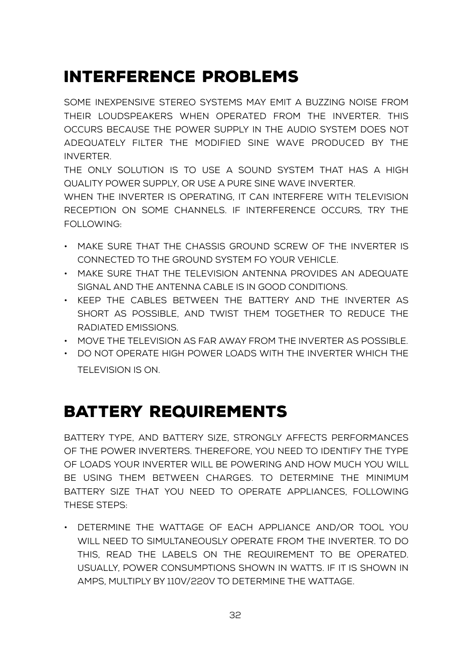### <span id="page-10-0"></span>INTERFERENCE PROBLEMS

Some inexpensive stereo systems may emit a buzzing noise from their loudspeakers when operated from the inverter. This occurs because the power supply in the audio System does not adequately filter the modified sine wave produced by the inverter.

The only solution is to use a sound system that has a high quality power supply, or use a pure sine wave inverter.

When the inverter is operating, it can interfere with television reception on some channels. If interference occurs, try the following:

- Make sure that the chassis ground screw of the inverter is connected to the ground system fo your vehicle.
- Make sure that the television antenna provides an adequate signal and the antenna cable is in good conditions.
- Keep the cables between the battery and the inverter as short as possible, and twist them together to reduce the radiated emissions.
- Move the television as far away from the inverter as possible.
- Do not operate high power loads with the inverter which the television is on.

### <span id="page-10-1"></span>BATTERY REQUIREMENTS

Battery type, and battery size, strongly affects performances of the power inverters. Therefore, you need to identify the type of loads your inverter will be powering and how much you will be using them between charges. To determine the minimum battery size that you need to operate appliances, following these steps:

• Determine the wattage of each appliance and/or tool you will need to simultaneously operate from the inverter. To do this, read the labels on the requirement to be operated. Usually, power consumptions shown in watts. If it is shown in amps, multiply by 110V/220V to determine the wattage.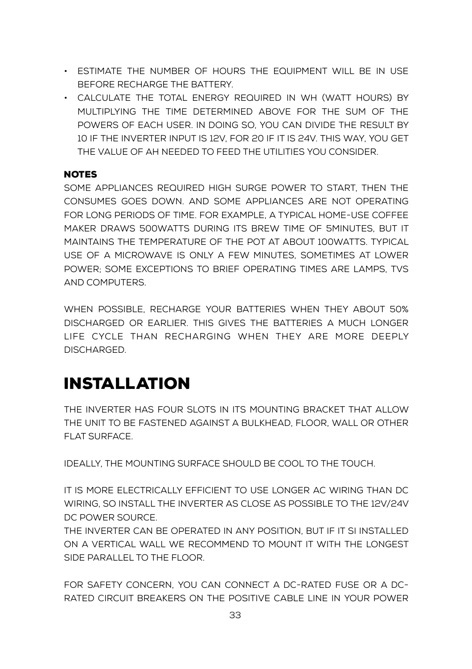- Estimate the number of hours the equipment will be in use before recharge the battery.
- Calculate the total energy required in Wh (Watt hours) by multiplying the time determined above for the sum of the powers of each user. In doing so, you can divide the result by 10 if the inverter input is 12V, for 20 if it is 24V. This way, you get the value of Ah needed to feed the utilities you consider.

#### **NOTES**

Some appliances required high surge power to start, then the consumes goes down. And some appliances are not operating for long periods of time. For example, a typical home-use coffee maker draws 500watts during its brew time of 5minutes, but it maintains the temperature of the pot at about 100watts. Typical use of a microwave is only a few minutes, sometimes at lower power; some exceptions to brief operating times are lamps, TVs and computers.

When possible, recharge your batteries when they about 50% discharged or earlier. This gives the batteries a much longer life cycle than recharging when they are more deeply discharged.

### <span id="page-11-0"></span>Installation

The inverter has four slots in its mounting bracket that allow the unit to be fastened against a bulkhead, floor, wall or other flat surface.

Ideally, the mounting surface should be cool to the touch.

It is more electrically efficient to use longer AC wiring than DC wiring, so install the inverter as close as possible to the 12V/24V DC power source.

The inverter can be operated in any position, but if it si installed on a vertical wall we recommend to mount it with the longest side parallel to the floor.

For safety concern, you can connect a DC-rated fuse or a DCrated circuit breakers on the positive cable line in your power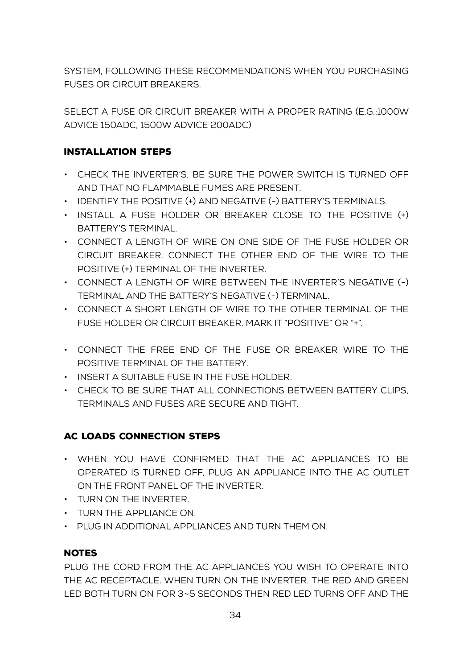system, following these recommendations when you purchasing fuses or circuit breakers.

Select a fuse or circuit breaker with a proper rating (e.g.:1000W advice 150Adc, 1500W advice 200Adc)

#### INSTALLATION STEPS

- Check the inverter's, be sure the power switch is turned off and that no flammable fumes are present.
- Identify the positive (+) and negative (-) battery's terminals.
- Install a fuse holder or breaker close to the positive (+) battery's terminal.
- Connect a length of wire on one side of the fuse holder or circuit breaker. Connect the other end of the wire to the positive (+) terminal of the inverter.
- Connect a length of wire between the inverter's negative (-) terminal and the battery's negative (-) terminal.
- Connect a short length of wire to the other terminal of the fuse holder or circuit breaker. Mark it "positive" or "+".
- Connect the free end of the fuse or breaker wire to the positive terminal of the battery.
- Insert a suitable fuse in the fuse holder.
- Check to be sure that all connections between battery clips, terminals and fuses are secure and tight.

#### AC LOADS CONNECTION STEPS

- When you have confirmed that the AC appliances to be operated is turned off, plug an appliance into the AC outlet on the front panel of the inverter.
- Turn ON the inverter.
- Turn the appliance on.
- Plug in additional appliances and turn them on.

#### **NOTES**

Plug the cord from the AC appliances you wish to operate into the AC receptacle. When turn ON the inverter. The Red and Green LED both turn on for 3~5 seconds then red LED turns off and the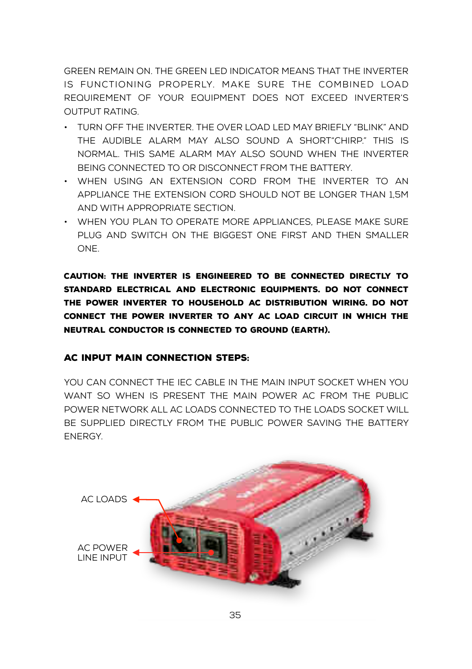green remain on. the green LED indicator means that the inverter is functioning properly. Make sure the combined load requirement of your equipment does not exceed inverter's output rating.

- TURN OFF THE INVERTER. THE OVER LOAD LED MAY BRIEFLY "BLINK" AND the audible alarm may also sound a short"chirp." This is normal. This same alarm may also sound when the inverter being connected to or disconnect from the battery.
- When using an extension cord from the inverter to an appliance the extension cord should not be longer than 1,5m and with appropriate section.
- When you plan to operate more appliances, please make sure plug and switch ON the biggest one first and then smaller one.

Caution: The inverter is engineered to be connected directly to standard electrical and electronic equipments. Do not connect the power inverter to household AC distribution wiring. Do not connect the power inverter to any AC load circuit in which the neutral conductor is connected to ground (earth).

#### AC INPUT MAIN CONNECTION STEPS:

YOU CAN CONNECT THE IEC CABLE IN THE MAIN INPUT SOCKET WHEN YOU want so when is present the main power AC from the public power network all AC loads connected to the loads socket will be supplied directly from the public power saving the battery energy.

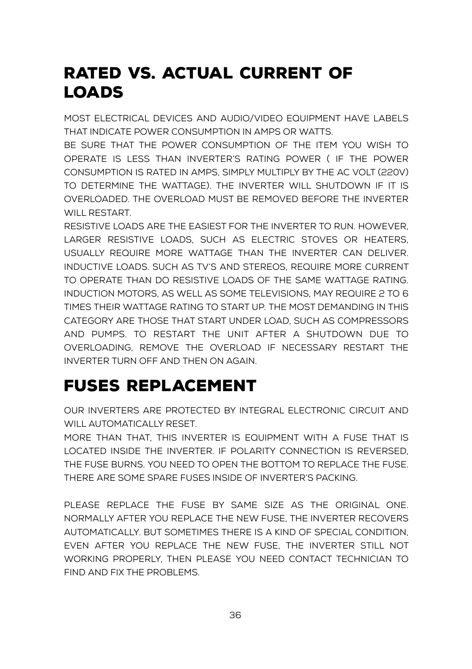## <span id="page-14-0"></span>RATED VS. ACTUAL CURRENT OF LOADS

Most electrical devices and audio/video equipment have labels that indicate power consumption in amps or watts.

Be sure that the power consumption of the item you wish to operate is less than inverter's rating power ( if the power consumption is rated in amps, simply multiply by the AC volt (220V) to determine the wattage). The inverter will shutdown if it is overloaded. The overload must be removed before the inverter will restart.

Resistive loads are the easiest for the inverter to run. However, larger resistive loads, such as electric stoves or heaters, usually require more wattage than the inverter can deliver. Inductive loads. Such as TV's and stereos, require more current to operate than do resistive loads of the same wattage rating. Induction motors, as well as some televisions, may require 2 to 6 times their wattage rating to start up. The most demanding in this category are those that start under load, such as compressors and pumps. To restart the unit after a shutdown due to overloading, remove the overload if necessary restart the inverter turn OFF and then ON again.

# <span id="page-14-1"></span>FUSES REPLACEMENT

our inverters are protected by integral electronic circuit and will automatically reset.

More than that, this inverter is equipment with a fuse that is located inside the inverter. If polarity connection is reversed, the fuse burns. you need to open the bottom to replace the fuse. There are some spare fuses inside of inverter's packing.

Please replace the fuse by same size as the original one. Normally after you replace the new fuse, the inverter recovers automatically. But sometimes there is a kind of special condition, even after you replace the new fuse, the inverter still not working properly, then please you need contact technician to find and fix the problems.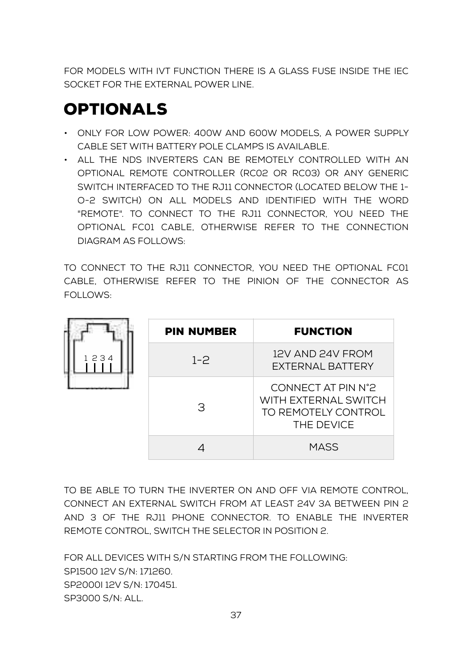For models with IVT function there is a glass fuse inside the IEC Socket for the external power line.

# <span id="page-15-0"></span>**OPTIONALS**

- ONLY FOR LOW POWER: 400W AND 600W MODELS, A POWER SUPPLY cable set with battery pole clamps is available.
- All the nds inverters can be remotely controlled with an optional remote controller (RC02 or RC03) or any generic switch interfaced to the rj11 connector (located below the 1 o-2 switch) on all models and identified with the word "remote". To connect to the rj11 connector, you need the optional fc01 cable, otherwise refer to the connection diagram as follows:

To connect to the rj11 connector, you need the optional fc01 cable, otherwise refer to the pinion of the connector as follows:

|      | <b>PIN NUMBER</b> | <b>FUNCTION</b>                                                                 |
|------|-------------------|---------------------------------------------------------------------------------|
| 1234 | $1 - 2$           | 12V AND 24V FROM<br>EXTERNAL BATTERY                                            |
|      | З                 | CONNECT AT PIN N°2<br>WITH EXTERNAL SWITCH<br>TO REMOTELY CONTROL<br>THE DEVICE |
|      |                   | <b>MASS</b>                                                                     |

To be able to turn the INVERTER ON and OFF via REMOTE CONTROL, CONNECT AN EXTERNAL SWITCH FROM at least 24V 3A BETWEEN PIN 2 AND 3 OF THE Rj11 phone connector. TO ENABLE THE INVERTER REMOTE CONTROL, SWITCH the selector IN POSITION 2.

For all devices with S/n starting from the following: SP1500 12V s/N: 171260. Sp2000i 12V s/n: 170451. SP3000 S/N: all.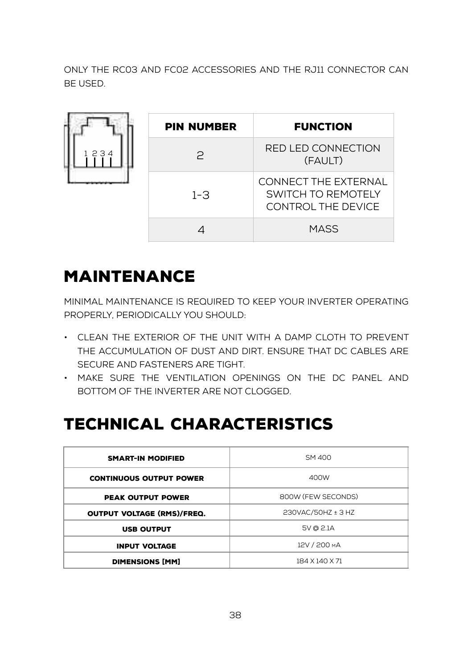only the RC03 and FC02 accessories and the RJ11 connector can be used.

|      | <b>PIN NUMBER</b> | <b>FUNCTION</b>                                                                |
|------|-------------------|--------------------------------------------------------------------------------|
| 1234 | $\mathcal{P}$     | RED LED CONNECTION<br>(FAULT)                                                  |
|      | $1 - 3$           | <b>CONNECT THE EXTERNAL</b><br>SWITCH TO REMOTELY<br><b>CONTROL THE DEVICE</b> |
|      |                   | <b>MASS</b>                                                                    |

# <span id="page-16-0"></span>MAINTENANCE

Minimal maintenance is required to keep your inverter operating properly, periodically you should:

- Clean the exterior of the unit with a damp cloth to prevent the accumulation of dust and dirt. Ensure that DC cables are secure and fasteners are tight.
- Make sure the ventilation openings on the DC panel and bottom of the inverter are not clogged.

# <span id="page-16-1"></span>TECHNICAL CHARACTERISTICS

| <b>SMART-IN MODIFIED</b>                 | SM 400             |  |
|------------------------------------------|--------------------|--|
| <b>CONTINUOUS OUTPUT POWER</b>           | 400W               |  |
| <b>PEAK OUTPUT POWER</b>                 | 800W (FEW SECONDS) |  |
| <b>OUTPUT VOLTAGE (RMS)/FREQ.</b>        | 230VAC/50HZ ± 3 HZ |  |
| 5V @ 2.1A<br><b>USB OUTPUT</b>           |                    |  |
| <b>INPUT VOLTAGE</b>                     | 12V / 200 MA       |  |
| 184 X 140 X 71<br><b>DIMENSIONS [MM]</b> |                    |  |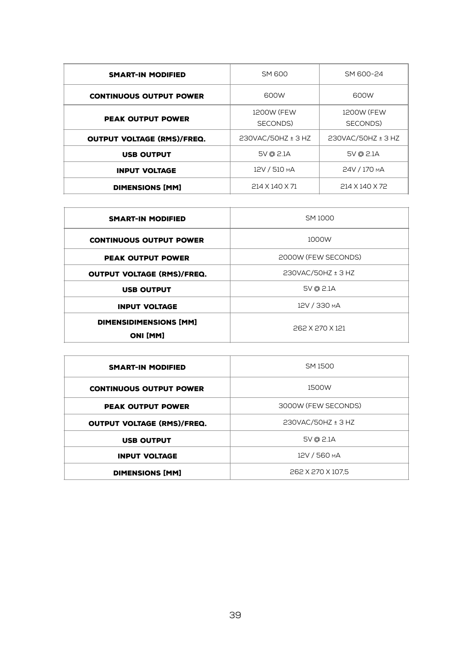| <b>SMART-IN MODIFIED</b>          | <b>SM 600</b>      | SM 600-24          |
|-----------------------------------|--------------------|--------------------|
| <b>CONTINUOUS OUTPUT POWER</b>    | 600W               | 600W               |
|                                   | 1200W (FEW         | 1200W (FEW         |
| <b>PEAK OUTPUT POWER</b>          | SECONDS)           | SECONDS)           |
| <b>OUTPUT VOLTAGE (RMS)/FREQ.</b> | 230VAC/50HZ ± 3 HZ | 230VAC/50HZ ± 3 HZ |
| <b>USB OUTPUT</b>                 | 5V @ 2.1A          | 5V @ 2.1A          |
| <b>INPUT VOLTAGE</b>              | 12V / 510 MA       | 24V / 170 MA       |
| <b>DIMENSIONS [MM]</b>            | 214 X 140 X 71     | 214 X 140 X 72     |

| <b>SMART-IN MODIFIED</b>                  | SM 1000             |  |
|-------------------------------------------|---------------------|--|
| <b>CONTINUOUS OUTPUT POWER</b>            | 1000W               |  |
| <b>PEAK OUTPUT POWER</b>                  | 2000W (FEW SECONDS) |  |
| <b>OUTPUT VOLTAGE (RMS)/FREQ.</b>         | 230VAC/50HZ ± 3 HZ  |  |
| <b>USB OUTPUT</b>                         | 5V @ 2.1A           |  |
| <b>INPUT VOLTAGE</b>                      | 12V / 330 MA        |  |
| DIMENSIDIMENSIONS [MM]<br><b>ONI [MM]</b> | 262 X 270 X 121     |  |

| <b>SMART-IN MODIFIED</b>          | SM 1500             |  |
|-----------------------------------|---------------------|--|
| <b>CONTINUOUS OUTPUT POWER</b>    | 1500W               |  |
| <b>PEAK OUTPUT POWER</b>          | 3000W (FEW SECONDS) |  |
| <b>OUTPUT VOLTAGE (RMS)/FREQ.</b> | 230VAC/50HZ ± 3 HZ  |  |
| <b>USB OUTPUT</b>                 | 5V @ 2.1A           |  |
| <b>INPUT VOLTAGE</b>              | 12V / 560 MA        |  |
| <b>DIMENSIONS [MM]</b>            | 262 X 270 X 107.5   |  |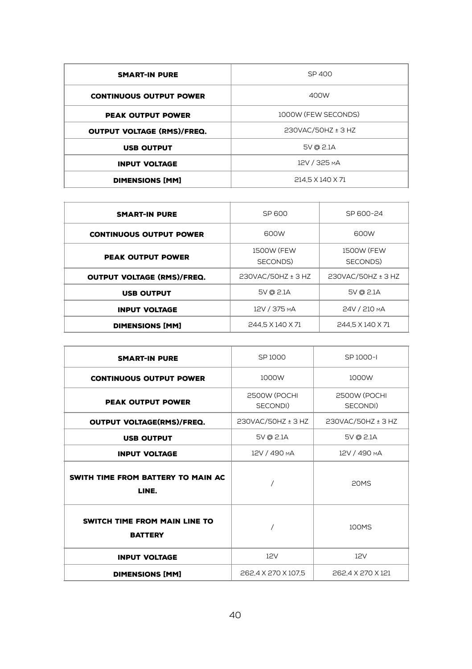| <b>SMART-IN PURE</b>              | SP 400              |  |
|-----------------------------------|---------------------|--|
| <b>CONTINUOUS OUTPUT POWER</b>    | 400W                |  |
| <b>PEAK OUTPUT POWER</b>          | 1000W (FEW SECONDS) |  |
| <b>OUTPUT VOLTAGE (RMS)/FREQ.</b> | 230VAC/50HZ ± 3 HZ  |  |
| <b>USB OUTPUT</b>                 | 5V @ 2.1A           |  |
| <b>INPUT VOLTAGE</b>              | 12V / 325 MA        |  |
| <b>DIMENSIONS [MM]</b>            | 214.5 X 140 X 71    |  |

| <b>SMART-IN PURE</b>              | SP 600             | SP 600-24          |
|-----------------------------------|--------------------|--------------------|
| <b>CONTINUOUS OUTPUT POWER</b>    | 600W               | 600W               |
| <b>PEAK OUTPUT POWER</b>          | 1500W (FFW         | 1500W (FFW         |
|                                   | SECONDS)           | SECONDS)           |
| <b>OUTPUT VOLTAGE (RMS)/FREQ.</b> | 230VAC/50HZ ± 3 HZ | 230VAC/50HZ ± 3 HZ |
| <b>USB OUTPUT</b>                 | 5V @ 2.1A          | 5V @ 2.1A          |
| <b>INPUT VOLTAGE</b>              | 12V / 375 MA       | 24V / 210 MA       |
| <b>DIMENSIONS [MM]</b>            | 244.5 X 140 X 71   | 244.5 X 140 X 71   |
|                                   |                    |                    |

| <b>SMART-IN PURE</b>                            | SP 1000                  | SP 1000-I                |
|-------------------------------------------------|--------------------------|--------------------------|
| <b>CONTINUOUS OUTPUT POWER</b>                  | 1000W                    | 1000W                    |
| <b>PEAK OUTPUT POWER</b>                        | 2500W (POCHI<br>SECONDI) | 2500W (POCHI<br>SECONDI) |
| <b>OUTPUT VOLTAGE(RMS)/FREQ.</b>                | 230VAC/50HZ ± 3 HZ       | 230VAC/50HZ ± 3 HZ       |
| <b>USB OUTPUT</b>                               | 5V @ 2.1A                | 5V @ 2.1A                |
| <b>INPUT VOLTAGE</b>                            | 12V / 490 MA             | 12V / 490 MA             |
| SWITH TIME FROM BATTERY TO MAIN AC<br>LINE.     |                          | 20MS                     |
| SWITCH TIME FROM MAIN LINE TO<br><b>BATTERY</b> |                          | 100MS                    |
| <b>INPUT VOLTAGE</b>                            | 12V                      | 12V                      |
| <b>DIMENSIONS [MM]</b>                          | 262,4 X 270 X 107,5      | 262.4 X 270 X 121        |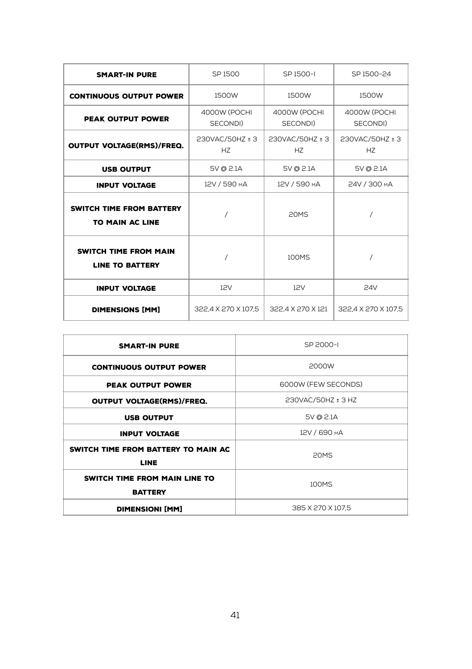| <b>SMART-IN PURE</b>                                   | SP 1500                  | SP 1500-I                | SP 1500-24               |
|--------------------------------------------------------|--------------------------|--------------------------|--------------------------|
| <b>CONTINUOUS OUTPUT POWER</b>                         | 1500W                    | 1500W                    | 1500W                    |
| <b>PEAK OUTPUT POWER</b>                               | 4000W (POCHI<br>SECONDI) | 4000W (POCHI<br>SECONDI) | 4000W (POCHI<br>SECONDI) |
| <b>OUTPUT VOLTAGE(RMS)/FREQ.</b>                       | 230VAC/50HZ ± 3<br>HZ    | 230VAC/50HZ ± 3<br>HZ    | 230VAC/50HZ ± 3<br>HZ    |
| <b>USB OUTPUT</b>                                      | 5V @ 2.1A                | 5V @ 2.1A                | 5V @ 2.1A                |
| <b>INPUT VOLTAGE</b>                                   | 12V / 590 MA             | 12V / 590 MA             | 24V / 300 MA             |
| SWITCH TIME FROM BATTERY<br><b>TO MAIN AC LINE</b>     |                          | 20MS                     |                          |
| <b>SWITCH TIME FROM MAIN</b><br><b>LINE TO BATTERY</b> |                          | 100MS                    |                          |
| <b>INPUT VOLTAGE</b>                                   | 12V                      | 12V                      | 24V                      |
| <b>DIMENSIONS [MM]</b>                                 | 322.4 X 270 X 107.5      | 322.4 X 270 X 121        | 322,4 X 270 X 107,5      |

| <b>SMART-IN PURE</b>                               | SP 2000-L           |  |
|----------------------------------------------------|---------------------|--|
| <b>CONTINUOUS OUTPUT POWER</b>                     | 2000W               |  |
| <b>PEAK OUTPUT POWER</b>                           | 6000W (FEW SECONDS) |  |
| <b>OUTPUT VOLTAGE(RMS)/FREQ.</b>                   | 230VAC/50HZ ± 3 HZ  |  |
| <b>USB OUTPUT</b>                                  | 5V @ 2.1A           |  |
| <b>INPUT VOLTAGE</b>                               | 12V / 690 MA        |  |
| SWITCH TIME FROM BATTERY TO MAIN AC<br><b>LINE</b> | 20MS                |  |
| SWITCH TIME FROM MAIN LINE TO<br><b>BATTERY</b>    | 100MS               |  |
| <b>DIMENSIONI [MM]</b>                             | 385 X 270 X 107.5   |  |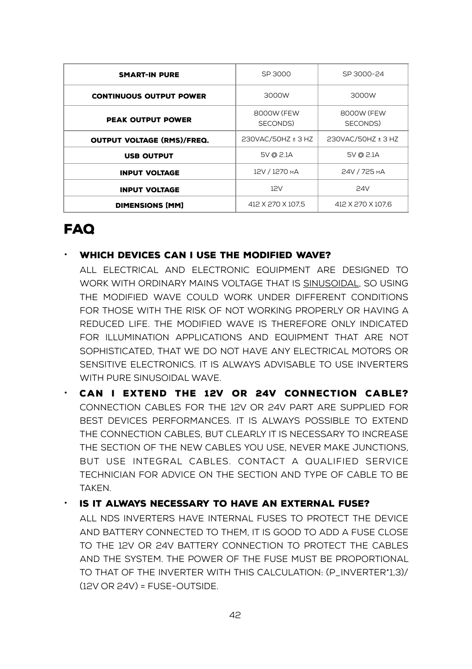| <b>SMART-IN PURE</b>              | SP 3000                | SP 3000-24             |
|-----------------------------------|------------------------|------------------------|
| <b>CONTINUOUS OUTPUT POWER</b>    | 3000W                  | 3000W                  |
| <b>PEAK OUTPUT POWER</b>          | 8000W (FEW<br>SECONDS) | 8000W (FEW<br>SECONDS) |
| <b>OUTPUT VOLTAGE (RMS)/FREQ.</b> | 230VAC/50HZ ± 3 HZ     | 230VAC/50HZ ± 3 HZ     |
| <b>USB OUTPUT</b>                 | 5V @ 2.1A              | 5V @ 2.1A              |
| <b>INPUT VOLTAGE</b>              | 12V / 1270 MA          | 24V / 725 MA           |
| <b>INPUT VOLTAGE</b>              | 12V                    | <b>24V</b>             |
| <b>DIMENSIONS [MM]</b>            | 412 X 270 X 107.5      | 412 X 270 X 107.6      |

### FAQ

#### $\cdot$  WHICH DEVICES CAN I USE THE MODIFIED WAVE?

All electrical and electronic equipment are designed to work with ordinary mains voltage that is sinusoidal, so using the modified wave could work under different conditions for those with the risk of not working properly or having a reduced life. The modified wave is therefore only indicated for illumination applications and equipment that are not sophisticated, that we do not have any electrical motors or sensitive electronics. It is always advisable to use inverters with pure sinusoidal wave.

• Can I extend the 12V or 24V connection cable? Connection cables for the 12V or 24V part are supplied for best devices performances. It is always possible to extend the connection cables, but clearly it is necessary to increase the section of the new cables you use, never make junctions, but use integral cables. Contact a qualified service technician for advice on the section and type of cable to be taken.

#### • Is it always necessary to have an external fuse?

All NDS inverters have internal fuses to protect the device and battery connected to them, it is good to add a fuse close to the 12V or 24V battery connection to protect the cables and the system. The power of the fuse must be proportional to that of the inverter with this calculation: (P\_inverter\*1,3)/  $(12V \t{OR } 24V) = FUSE-OUTSIDE$ .